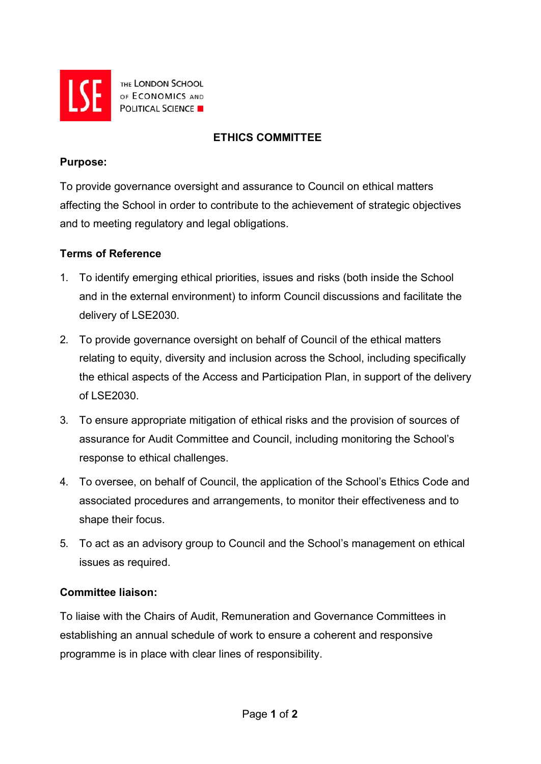

THE LONDON SCHOOL OF ECONOMICS AND **POLITICAL SCIENCE** 

# **ETHICS COMMITTEE**

## **Purpose:**

To provide governance oversight and assurance to Council on ethical matters affecting the School in order to contribute to the achievement of strategic objectives and to meeting regulatory and legal obligations.

## **Terms of Reference**

- 1. To identify emerging ethical priorities, issues and risks (both inside the School and in the external environment) to inform Council discussions and facilitate the delivery of LSE2030.
- 2. To provide governance oversight on behalf of Council of the ethical matters relating to equity, diversity and inclusion across the School, including specifically the ethical aspects of the Access and Participation Plan, in support of the delivery of LSE2030.
- 3. To ensure appropriate mitigation of ethical risks and the provision of sources of assurance for Audit Committee and Council, including monitoring the School's response to ethical challenges.
- 4. To oversee, on behalf of Council, the application of the School's Ethics Code and associated procedures and arrangements, to monitor their effectiveness and to shape their focus.
- 5. To act as an advisory group to Council and the School's management on ethical issues as required.

## **Committee liaison:**

To liaise with the Chairs of Audit, Remuneration and Governance Committees in establishing an annual schedule of work to ensure a coherent and responsive programme is in place with clear lines of responsibility.